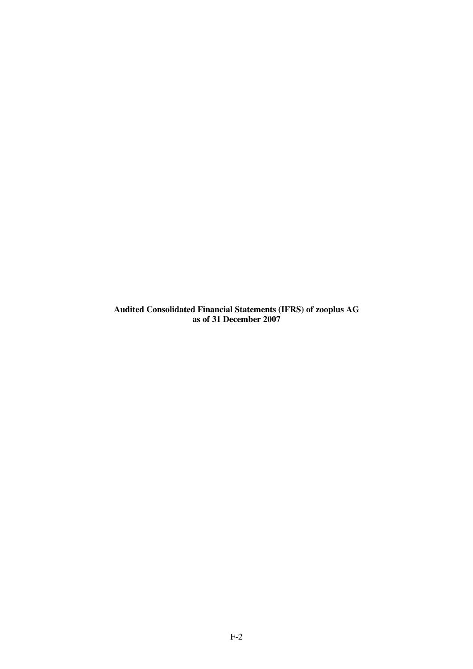**Audited Consolidated Financial Statements (IFRS) of zooplus AG as of 31 December 2007**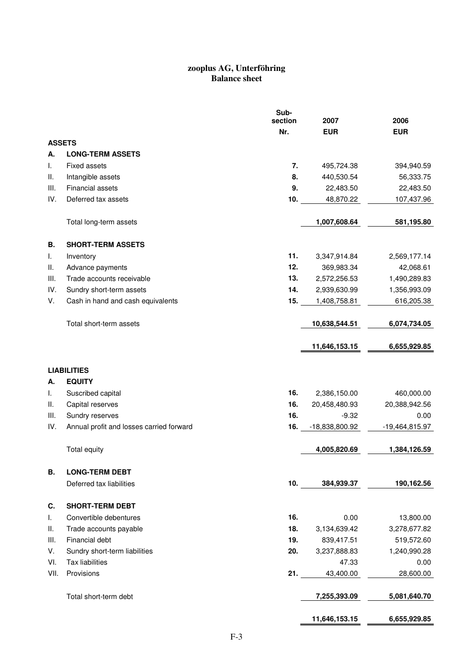## **zooplus AG, Unterföhring Balance sheet**

|               |                                          | Sub-<br>section | 2007           | 2006             |
|---------------|------------------------------------------|-----------------|----------------|------------------|
|               |                                          | Nr.             | <b>EUR</b>     | <b>EUR</b>       |
| <b>ASSETS</b> |                                          |                 |                |                  |
| А.            | <b>LONG-TERM ASSETS</b>                  |                 |                |                  |
| I.            | <b>Fixed assets</b>                      | 7.              | 495,724.38     | 394,940.59       |
| Ш.            | Intangible assets                        | 8.              | 440,530.54     | 56,333.75        |
| III.          | <b>Financial assets</b>                  | 9.              | 22,483.50      | 22,483.50        |
| IV.           | Deferred tax assets                      | 10.             | 48,870.22      | 107,437.96       |
|               | Total long-term assets                   |                 | 1,007,608.64   | 581,195.80       |
| В.            | <b>SHORT-TERM ASSETS</b>                 |                 |                |                  |
| L.            | Inventory                                | 11.             | 3,347,914.84   | 2,569,177.14     |
| Ш.            | Advance payments                         | 12.             | 369,983.34     | 42,068.61        |
| III.          | Trade accounts receivable                | 13.             | 2,572,256.53   | 1,490,289.83     |
| IV.           | Sundry short-term assets                 | 14.             | 2,939,630.99   | 1,356,993.09     |
| V.            | Cash in hand and cash equivalents        | 15.             | 1,408,758.81   | 616,205.38       |
|               | Total short-term assets                  |                 | 10,638,544.51  | 6,074,734.05     |
|               |                                          |                 | 11,646,153.15  | 6,655,929.85     |
|               | <b>LIABILITIES</b>                       |                 |                |                  |
| А.            | <b>EQUITY</b>                            |                 |                |                  |
| I.            | Suscribed capital                        | 16.             | 2,386,150.00   | 460,000.00       |
| Ш.            | Capital reserves                         | 16.             | 20,458,480.93  | 20,388,942.56    |
| III.          | Sundry reserves                          | 16.             | $-9.32$        | 0.00             |
| IV.           | Annual profit and losses carried forward | 16.             | -18,838,800.92 | $-19,464,815.97$ |
|               | Total equity                             |                 | 4,005,820.69   | 1,384,126.59     |
| В.            | <b>LONG-TERM DEBT</b>                    |                 |                |                  |
|               | Deferred tax liabilities                 | 10.             | 384,939.37     | 190,162.56       |
| C.            | <b>SHORT-TERM DEBT</b>                   |                 |                |                  |
| I.            | Convertible debentures                   | 16.             | 0.00           | 13,800.00        |
| Ш.            | Trade accounts payable                   | 18.             | 3,134,639.42   | 3,278,677.82     |
| III.          | Financial debt                           | 19.             | 839,417.51     | 519,572.60       |
| V.            | Sundry short-term liabilities            | 20.             | 3,237,888.83   | 1,240,990.28     |
| VI.           | <b>Tax liabilities</b>                   |                 | 47.33          | 0.00             |
| VII.          | Provisions                               | 21.             | 43,400.00      | 28,600.00        |
|               | Total short-term debt                    |                 | 7,255,393.09   | 5,081,640.70     |
|               |                                          |                 | 11,646,153.15  | 6,655,929.85     |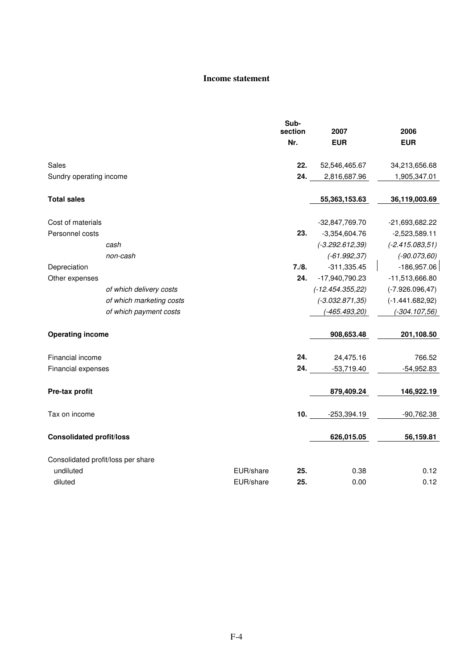## **Income statement**

|                                 |                                    |           | Sub-<br>section | 2007               | 2006               |
|---------------------------------|------------------------------------|-----------|-----------------|--------------------|--------------------|
|                                 |                                    |           | Nr.             | <b>EUR</b>         | <b>EUR</b>         |
| Sales                           |                                    |           | 22.             | 52,546,465.67      | 34,213,656.68      |
| Sundry operating income         |                                    |           | 24.             | 2,816,687.96       | 1,905,347.01       |
|                                 |                                    |           |                 |                    |                    |
| <b>Total sales</b>              |                                    |           |                 | 55,363,153.63      | 36,119,003.69      |
|                                 |                                    |           |                 |                    |                    |
| Cost of materials               |                                    |           |                 | $-32,847,769.70$   | -21,693,682.22     |
| Personnel costs                 |                                    |           | 23.             | $-3,354,604.76$    | $-2,523,589.11$    |
|                                 | cash                               |           |                 | $(-3.292.612, 39)$ | $(-2.415.083, 51)$ |
|                                 | non-cash                           |           |                 | $(-61.992, 37)$    | $(-90.073, 60)$    |
| Depreciation                    |                                    |           | 7./8.           | $-311,335.45$      | $-186,957.06$      |
| Other expenses                  |                                    |           | 24.             | -17,940,790.23     | -11,513,666.80     |
|                                 | of which delivery costs            |           |                 | $(-12.454.355,22)$ | $(-7.926.096, 47)$ |
|                                 | of which marketing costs           |           |                 | $(-3.032.871, 35)$ | $(-1.441.682,92)$  |
|                                 | of which payment costs             |           |                 | $(-465.493,20)$    | $(-304.107,56)$    |
| <b>Operating income</b>         |                                    |           |                 | 908,653.48         | 201,108.50         |
| Financial income                |                                    |           | 24.             | 24,475.16          | 766.52             |
| Financial expenses              |                                    |           | 24.             | $-53,719.40$       | $-54,952.83$       |
|                                 |                                    |           |                 |                    |                    |
| Pre-tax profit                  |                                    |           |                 | 879,409.24         | 146,922.19         |
| Tax on income                   |                                    |           | 10.             | $-253,394.19$      | $-90,762.38$       |
| <b>Consolidated profit/loss</b> |                                    |           |                 | 626,015.05         | 56,159.81          |
|                                 | Consolidated profit/loss per share |           |                 |                    |                    |
| undiluted                       |                                    | EUR/share | 25.             | 0.38               | 0.12               |
| diluted                         |                                    | EUR/share | 25.             | 0.00               | 0.12               |
|                                 |                                    |           |                 |                    |                    |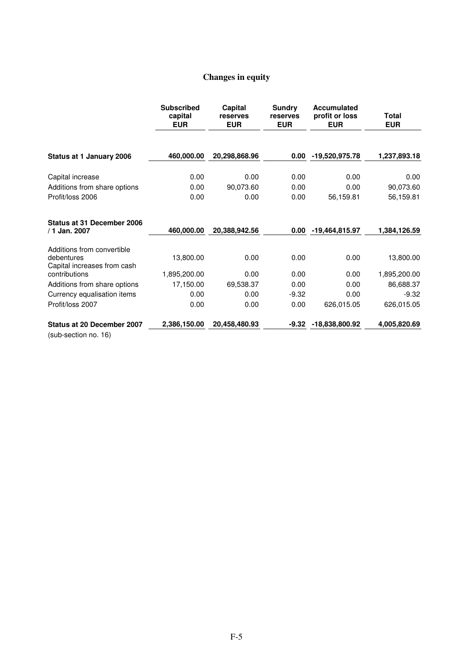## **Changes in equity**

|                                                               | <b>Subscribed</b><br>capital<br><b>EUR</b> | Capital<br>reserves<br><b>EUR</b> | Sundry<br>reserves<br><b>EUR</b> | <b>Accumulated</b><br>profit or loss<br><b>EUR</b> | Total<br><b>EUR</b> |
|---------------------------------------------------------------|--------------------------------------------|-----------------------------------|----------------------------------|----------------------------------------------------|---------------------|
| Status at 1 January 2006                                      | 460,000.00                                 | 20,298,868.96                     | 0.00                             | -19,520,975.78                                     | 1,237,893.18        |
|                                                               |                                            |                                   |                                  |                                                    |                     |
| Capital increase                                              | 0.00                                       | 0.00                              | 0.00                             | 0.00                                               | 0.00                |
| Additions from share options                                  | 0.00                                       | 90,073.60                         | 0.00                             | 0.00                                               | 90,073.60           |
| Profit/loss 2006                                              | 0.00                                       | 0.00                              | 0.00                             | 56,159.81                                          | 56,159.81           |
| Status at 31 December 2006<br>/ 1 Jan. 2007                   | 460,000.00                                 | 20,388,942.56                     | 0.00                             | -19,464,815.97                                     | 1,384,126.59        |
| Additions from convertible                                    |                                            |                                   |                                  |                                                    |                     |
| debentures<br>Capital increases from cash                     | 13,800.00                                  | 0.00                              | 0.00                             | 0.00                                               | 13,800.00           |
| contributions                                                 | 1,895,200.00                               | 0.00                              | 0.00                             | 0.00                                               | 1,895,200.00        |
| Additions from share options                                  | 17,150.00                                  | 69,538.37                         | 0.00                             | 0.00                                               | 86,688.37           |
| Currency equalisation items                                   | 0.00                                       | 0.00                              | $-9.32$                          | 0.00                                               | $-9.32$             |
| Profit/loss 2007                                              | 0.00                                       | 0.00                              | 0.00                             | 626,015.05                                         | 626,015.05          |
| Status at 20 December 2007<br>$(\text{sub condition no } 16)$ | 2,386,150.00                               | 20,458,480.93                     | $-9.32$                          | -18,838,800.92                                     | 4,005,820.69        |

(sub-section no. 16)